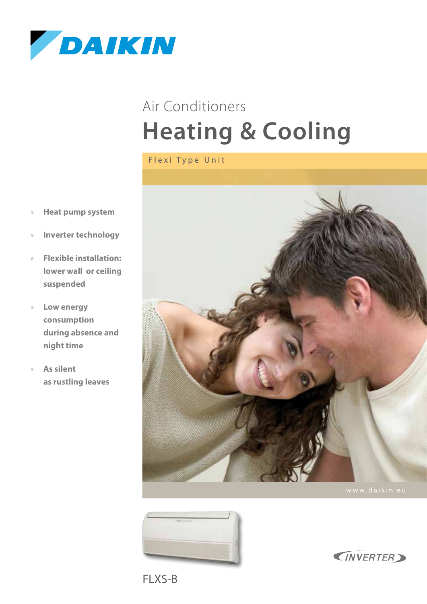

# **Heating & Cooling** Air Conditioners

Flexi Type Unit

- » **Heat pump system**
- » **Inverter technology**
- » **Flexible installation: lower wall or ceiling suspended**
- » **Low energy consumption during absence and night time**
- » **As silent as rustling leaves**







FLXS-B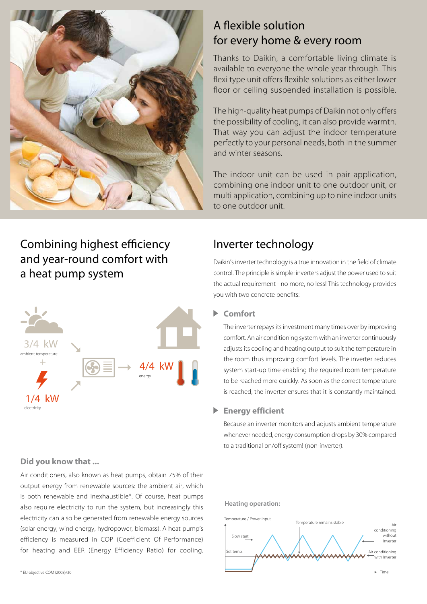

## Combining highest efficiency and year-round comfort with a heat pump system



#### **Did you know that ...**

Air conditioners, also known as heat pumps, obtain 75% of their output energy from renewable sources: the ambient air, which is both renewable and inexhaustible\*. Of course, heat pumps also require electricity to run the system, but increasingly this electricity can also be generated from renewable energy sources (solar energy, wind energy, hydropower, biomass). A heat pump's efficiency is measured in COP (Coefficient Of Performance) for heating and EER (Energy Efficiency Ratio) for cooling.

### A flexible solution for every home & every room

Thanks to Daikin, a comfortable living climate is available to everyone the whole year through. This flexi type unit offers flexible solutions as either lower floor or ceiling suspended installation is possible.

The high-quality heat pumps of Daikin not only offers the possibility of cooling, it can also provide warmth. That way you can adjust the indoor temperature perfectly to your personal needs, both in the summer and winter seasons.

The indoor unit can be used in pair application, combining one indoor unit to one outdoor unit, or multi application, combining up to nine indoor units to one outdoor unit.

## Inverter technology

Daikin's inverter technology is a true innovation in the field of climate control. The principle is simple: inverters adjust the power used to suit the actual requirement - no more, no less! This technology provides you with two concrete benefits:

#### **Comfort**

The inverter repays its investment many times over by improving comfort. An air conditioning system with an inverter continuously adjusts its cooling and heating output to suit the temperature in the room thus improving comfort levels. The inverter reduces system start-up time enabling the required room temperature to be reached more quickly. As soon as the correct temperature is reached, the inverter ensures that it is constantly maintained.

#### **Energy efficient**

Because an inverter monitors and adjusts ambient temperature whenever needed, energy consumption drops by 30% compared to a traditional on/off system! (non-inverter).

#### **Heating operation:**

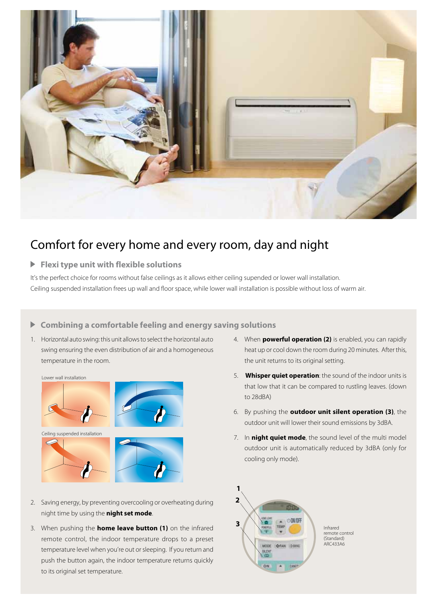

## Comfort for every home and every room, day and night

#### **Flexi type unit with flexible solutions**

It's the perfect choice for rooms without false ceilings as it allows either ceiling supended or lower wall installation. Ceiling suspended installation frees up wall and floor space, while lower wall installation is possible without loss of warm air.

#### **Combining a comfortable feeling and energy saving solutions**

1. Horizontal auto swing: this unit allows to select the horizontal auto swing ensuring the even distribution of air and a homogeneous temperature in the room.



- 2. Saving energy, by preventing overcooling or overheating during night time by using the **night set mode**.
- 3. When pushing the **home leave button (1)** on the infrared remote control, the indoor temperature drops to a preset temperature level when you're out or sleeping. If you return and push the button again, the indoor temperature returns quickly to its original set temperature.
- 4. When **powerful operation (2)** is enabled, you can rapidly heat up or cool down the room during 20 minutes. After this, the unit returns to its original setting.
- 5. **Whisper quiet operation**: the sound of the indoor units is that low that it can be compared to rustling leaves. (down to 28dBA)
- 6. By pushing the **outdoor unit silent operation (3)**, the outdoor unit will lower their sound emissions by 3dBA.
- 7. In **night quiet mode**, the sound level of the multi model outdoor unit is automatically reduced by 3dBA (only for cooling only mode).